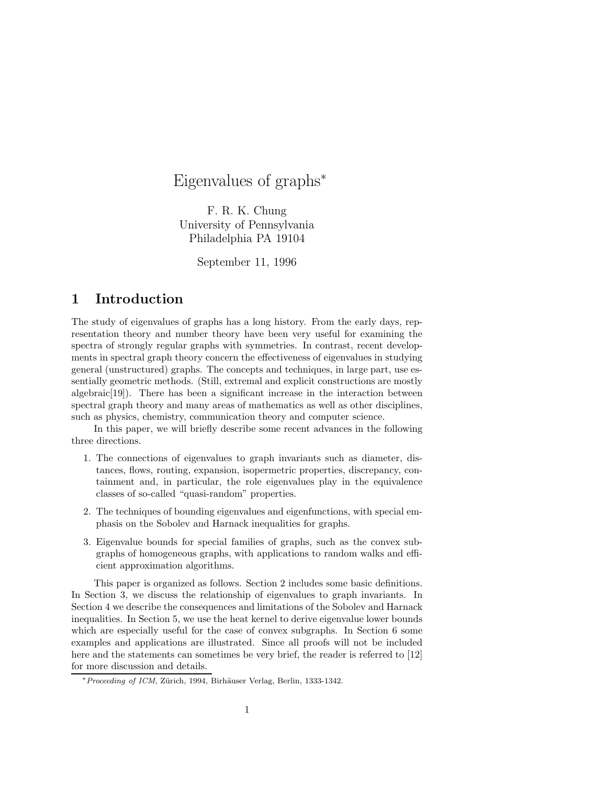# Eigenvalues of graphs<sup>∗</sup>

F. R. K. Chung University of Pennsylvania Philadelphia PA 19104

September 11, 1996

## 1 Introduction

The study of eigenvalues of graphs has a long history. From the early days, representation theory and number theory have been very useful for examining the spectra of strongly regular graphs with symmetries. In contrast, recent developments in spectral graph theory concern the effectiveness of eigenvalues in studying general (unstructured) graphs. The concepts and techniques, in large part, use essentially geometric methods. (Still, extremal and explicit constructions are mostly algebraic[19]). There has been a significant increase in the interaction between spectral graph theory and many areas of mathematics as well as other disciplines, such as physics, chemistry, communication theory and computer science.

In this paper, we will briefly describe some recent advances in the following three directions.

- 1. The connections of eigenvalues to graph invariants such as diameter, distances, flows, routing, expansion, isopermetric properties, discrepancy, containment and, in particular, the role eigenvalues play in the equivalence classes of so-called "quasi-random" properties.
- 2. The techniques of bounding eigenvalues and eigenfunctions, with special emphasis on the Sobolev and Harnack inequalities for graphs.
- 3. Eigenvalue bounds for special families of graphs, such as the convex subgraphs of homogeneous graphs, with applications to random walks and efficient approximation algorithms.

This paper is organized as follows. Section 2 includes some basic definitions. In Section 3, we discuss the relationship of eigenvalues to graph invariants. In Section 4 we describe the consequences and limitations of the Sobolev and Harnack inequalities. In Section 5, we use the heat kernel to derive eigenvalue lower bounds which are especially useful for the case of convex subgraphs. In Section 6 some examples and applications are illustrated. Since all proofs will not be included here and the statements can sometimes be very brief, the reader is referred to [12] for more discussion and details.

<sup>∗</sup>Proceeding of ICM, Z¨urich, 1994, Birh¨auser Verlag, Berlin, 1333-1342.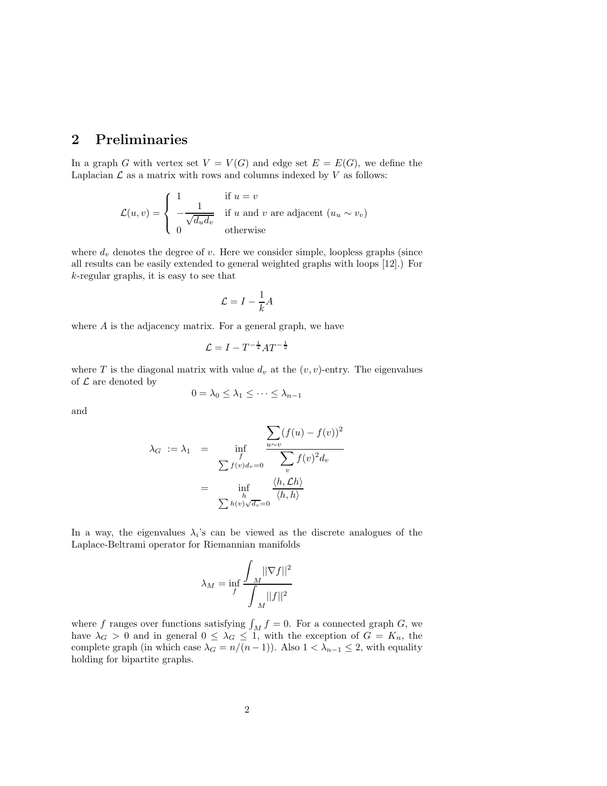## 2 Preliminaries

In a graph G with vertex set  $V = V(G)$  and edge set  $E = E(G)$ , we define the Laplacian  $\mathcal L$  as a matrix with rows and columns indexed by  $V$  as follows:

$$
\mathcal{L}(u,v) = \begin{cases} 1 & \text{if } u = v \\ -\frac{1}{\sqrt{d_u d_v}} & \text{if } u \text{ and } v \text{ are adjacent } (u_u \sim v_v) \\ 0 & \text{otherwise} \end{cases}
$$

where  $d_v$  denotes the degree of v. Here we consider simple, loopless graphs (since all results can be easily extended to general weighted graphs with loops [12].) For k-regular graphs, it is easy to see that

$$
\mathcal{L} = I - \frac{1}{k}A
$$

where A is the adjacency matrix. For a general graph, we have

$$
\mathcal{L} = I - T^{-\frac{1}{2}} A T^{-\frac{1}{2}}
$$

where T is the diagonal matrix with value  $d_v$  at the  $(v, v)$ -entry. The eigenvalues of  ${\mathcal L}$  are denoted by

$$
0 = \lambda_0 \leq \lambda_1 \leq \cdots \leq \lambda_{n-1}
$$

and

$$
\lambda_G := \lambda_1 = \inf_{\substack{f \\ \sum f(v)d_v = 0}} \frac{\sum_{u \sim v} (f(u) - f(v))^2}{\sum_{v} f(v)^2 d_v}
$$

$$
= \inf_{\substack{h \\ \sum h(v)\sqrt{d_v} = 0}} \frac{\langle h, \mathcal{L}h \rangle}{\langle h, h \rangle}
$$

In a way, the eigenvalues  $\lambda_i$ 's can be viewed as the discrete analogues of the Laplace-Beltrami operator for Riemannian manifolds

$$
\lambda_M = \inf_f \frac{\int_M ||\nabla f||^2}{\int_M ||f||^2}
$$

where f ranges over functions satisfying  $\int_M f = 0$ . For a connected graph G, we have  $\lambda_G > 0$  and in general  $0 \leq \lambda_G \leq 1$ , with the exception of  $G = K_n$ , the complete graph (in which case  $\lambda_G = n/(n-1)$ ). Also  $1 < \lambda_{n-1} \leq 2$ , with equality holding for bipartite graphs.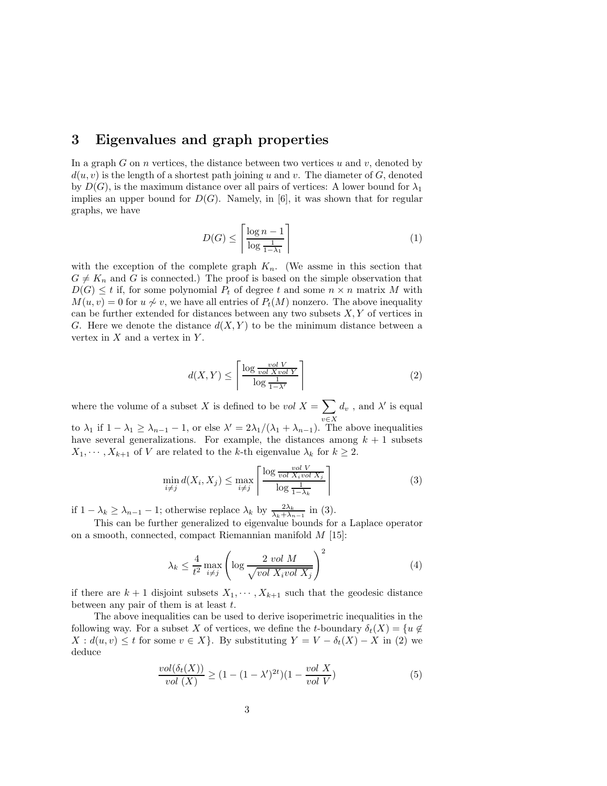### 3 Eigenvalues and graph properties

In a graph G on n vertices, the distance between two vertices  $u$  and  $v$ , denoted by  $d(u, v)$  is the length of a shortest path joining u and v. The diameter of G, denoted by  $D(G)$ , is the maximum distance over all pairs of vertices: A lower bound for  $\lambda_1$ implies an upper bound for  $D(G)$ . Namely, in [6], it was shown that for regular graphs, we have

$$
D(G) \le \left\lceil \frac{\log n - 1}{\log \frac{1}{1 - \lambda_1}} \right\rceil \tag{1}
$$

with the exception of the complete graph  $K_n$ . (We assme in this section that  $G \neq K_n$  and G is connected.) The proof is based on the simple observation that  $D(G) \leq t$  if, for some polynomial  $P_t$  of degree t and some  $n \times n$  matrix M with  $M(u, v) = 0$  for  $u \nsim v$ , we have all entries of  $P_t(M)$  nonzero. The above inequality can be further extended for distances between any two subsets  $X, Y$  of vertices in G. Here we denote the distance  $d(X, Y)$  to be the minimum distance between a vertex in  $X$  and a vertex in  $Y$ .

$$
d(X,Y) \le \left\lceil \frac{\log \frac{vol V}{vol X vol Y}}{\log \frac{1}{1-\lambda'}} \right\rceil \tag{2}
$$

where the volume of a subset X is defined to be vol  $X = \sum$  $v \in X$  $d_v$  , and  $\lambda'$  is equal to  $\lambda_1$  if  $1 - \lambda_1 \ge \lambda_{n-1} - 1$ , or else  $\lambda' = 2\lambda_1/(\lambda_1 + \lambda_{n-1})$ . The above inequalities have several generalizations. For example, the distances among  $k + 1$  subsets  $X_1, \dots, X_{k+1}$  of V are related to the k-th eigenvalue  $\lambda_k$  for  $k \geq 2$ .

$$
\min_{i \neq j} d(X_i, X_j) \le \max_{i \neq j} \left\lceil \frac{\log \frac{vol V}{vol X_i vol X_j}}{\log \frac{1}{1 - \lambda_k}} \right\rceil \tag{3}
$$

if  $1 - \lambda_k \geq \lambda_{n-1} - 1$ ; otherwise replace  $\lambda_k$  by  $\frac{2\lambda_k}{\lambda_k + \lambda_{n-1}}$  in (3).

This can be further generalized to eigenvalue bounds for a Laplace operator on a smooth, connected, compact Riemannian manifold M [15]:

$$
\lambda_k \le \frac{4}{t^2} \max_{i \ne j} \left( \log \frac{2 \ vol M}{\sqrt{\ vol X_i \ vol X_j}} \right)^2 \tag{4}
$$

if there are  $k+1$  disjoint subsets  $X_1, \dots, X_{k+1}$  such that the geodesic distance between any pair of them is at least  $t$ .

The above inequalities can be used to derive isoperimetric inequalities in the following way. For a subset X of vertices, we define the t-boundary  $\delta_t(X) = \{u \notin$  $X : d(u, v) \leq t$  for some  $v \in X$ . By substituting  $Y = V - \delta_t(X) - X$  in (2) we deduce

$$
\frac{vol(\delta_t(X))}{vol(X)} \ge (1 - (1 - \lambda')^{2t})(1 - \frac{vol X}{vol V})
$$
\n<sup>(5)</sup>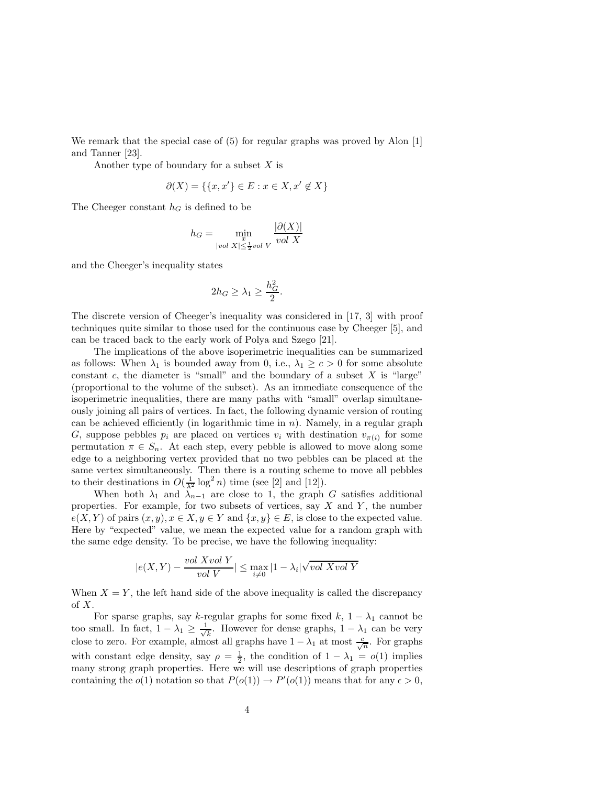We remark that the special case of  $(5)$  for regular graphs was proved by Alon [1] and Tanner [23].

Another type of boundary for a subset  $X$  is

$$
\partial(X) = \{ \{x, x'\} \in E : x \in X, x' \notin X \}
$$

The Cheeger constant  $h_G$  is defined to be

$$
h_G = \min_{\substack{x \text{ and } \\ |vol X| \le \frac{1}{2} vol V}} \frac{|\partial(X)|}{vol X}
$$

and the Cheeger's inequality states

$$
2h_G \ge \lambda_1 \ge \frac{h_G^2}{2}.
$$

The discrete version of Cheeger's inequality was considered in [17, 3] with proof techniques quite similar to those used for the continuous case by Cheeger [5], and can be traced back to the early work of Polya and Szego [21].

The implications of the above isoperimetric inequalities can be summarized as follows: When  $\lambda_1$  is bounded away from 0, i.e.,  $\lambda_1 \geq c > 0$  for some absolute constant  $c$ , the diameter is "small" and the boundary of a subset  $X$  is "large" (proportional to the volume of the subset). As an immediate consequence of the isoperimetric inequalities, there are many paths with "small" overlap simultaneously joining all pairs of vertices. In fact, the following dynamic version of routing can be achieved efficiently (in logarithmic time in  $n$ ). Namely, in a regular graph G, suppose pebbles  $p_i$  are placed on vertices  $v_i$  with destination  $v_{\pi(i)}$  for some permutation  $\pi \in S_n$ . At each step, every pebble is allowed to move along some edge to a neighboring vertex provided that no two pebbles can be placed at the same vertex simultaneously. Then there is a routing scheme to move all pebbles to their destinations in  $O(\frac{1}{\lambda^2} \log^2 n)$  time (see [2] and [12]).

When both  $\lambda_1$  and  $\lambda_{n-1}$  are close to 1, the graph G satisfies additional properties. For example, for two subsets of vertices, say  $X$  and  $Y$ , the number  $e(X, Y)$  of pairs  $(x, y), x \in X, y \in Y$  and  $\{x, y\} \in E$ , is close to the expected value. Here by "expected" value, we mean the expected value for a random graph with the same edge density. To be precise, we have the following inequality:

$$
|e(X,Y) - \frac{vol X vol Y}{vol V}| \le \max_{i \neq 0} |1 - \lambda_i| \sqrt{vol X vol Y}
$$

When  $X = Y$ , the left hand side of the above inequality is called the discrepancy of  $X$ .

For sparse graphs, say k-regular graphs for some fixed k,  $1 - \lambda_1$  cannot be too small. In fact,  $1 - \lambda_1 \geq \frac{1}{\sqrt{2}}$  $\frac{1}{k}$ . However for dense graphs,  $1 - \lambda_1$  can be very close to zero. For example, almost all graphs have  $1 - \lambda_1$  at most  $\frac{c}{\sqrt{n}}$ . For graphs with constant edge density, say  $\rho = \frac{1}{2}$ , the condition of  $1 - \lambda_1 = o(1)$  implies many strong graph properties. Here we will use descriptions of graph properties containing the  $o(1)$  notation so that  $P(o(1)) \to P'(o(1))$  means that for any  $\epsilon > 0$ ,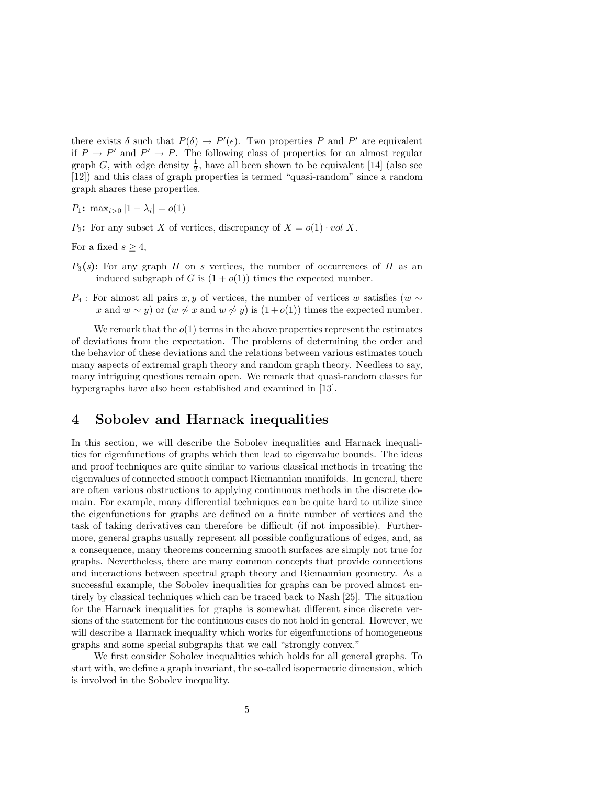there exists  $\delta$  such that  $P(\delta) \to P'(\epsilon)$ . Two properties P and P' are equivalent if  $P \to P'$  and  $P' \to P$ . The following class of properties for an almost regular graph G, with edge density  $\frac{1}{2}$ , have all been shown to be equivalent [14] (also see [12]) and this class of graph properties is termed "quasi-random" since a random graph shares these properties.

 $P_1$ : max<sub>i>0</sub> |1 –  $\lambda_i$ | =  $o(1)$ 

 $P_2$ : For any subset X of vertices, discrepancy of  $X = o(1) \cdot vol X$ .

For a fixed  $s > 4$ ,

- $P_3(s)$ : For any graph H on s vertices, the number of occurrences of H as an induced subgraph of G is  $(1+o(1))$  times the expected number.
- P<sub>4</sub> : For almost all pairs x, y of vertices, the number of vertices w satisfies (w  $\sim$ x and  $w \sim y$ ) or  $(w \not\sim x$  and  $w \not\sim y)$  is  $(1+o(1))$  times the expected number.

We remark that the  $o(1)$  terms in the above properties represent the estimates of deviations from the expectation. The problems of determining the order and the behavior of these deviations and the relations between various estimates touch many aspects of extremal graph theory and random graph theory. Needless to say, many intriguing questions remain open. We remark that quasi-random classes for hypergraphs have also been established and examined in [13].

### 4 Sobolev and Harnack inequalities

In this section, we will describe the Sobolev inequalities and Harnack inequalities for eigenfunctions of graphs which then lead to eigenvalue bounds. The ideas and proof techniques are quite similar to various classical methods in treating the eigenvalues of connected smooth compact Riemannian manifolds. In general, there are often various obstructions to applying continuous methods in the discrete domain. For example, many differential techniques can be quite hard to utilize since the eigenfunctions for graphs are defined on a finite number of vertices and the task of taking derivatives can therefore be difficult (if not impossible). Furthermore, general graphs usually represent all possible configurations of edges, and, as a consequence, many theorems concerning smooth surfaces are simply not true for graphs. Nevertheless, there are many common concepts that provide connections and interactions between spectral graph theory and Riemannian geometry. As a successful example, the Sobolev inequalities for graphs can be proved almost entirely by classical techniques which can be traced back to Nash [25]. The situation for the Harnack inequalities for graphs is somewhat different since discrete versions of the statement for the continuous cases do not hold in general. However, we will describe a Harnack inequality which works for eigenfunctions of homogeneous graphs and some special subgraphs that we call "strongly convex."

We first consider Sobolev inequalities which holds for all general graphs. To start with, we define a graph invariant, the so-called isopermetric dimension, which is involved in the Sobolev inequality.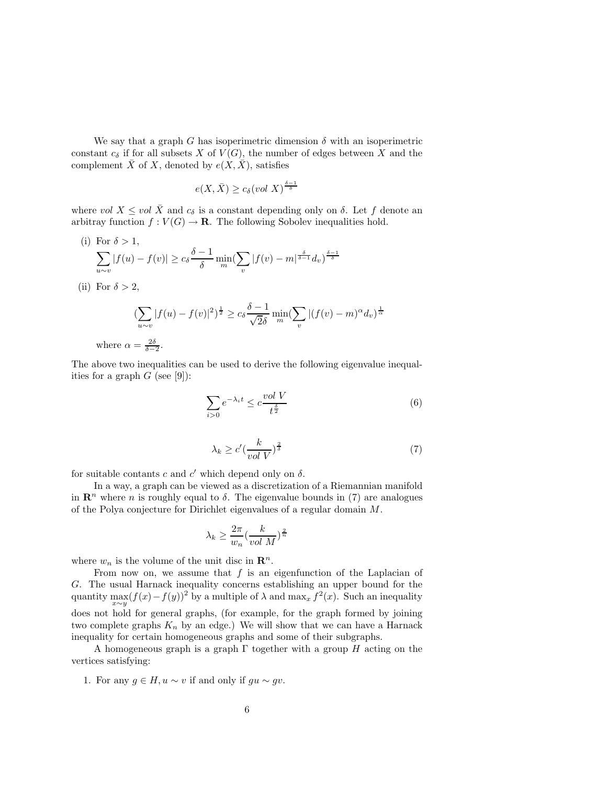We say that a graph G has isoperimetric dimension  $\delta$  with an isoperimetric constant  $c_{\delta}$  if for all subsets X of  $V(G)$ , the number of edges between X and the complement  $\bar{X}$  of X, denoted by  $e(X, \bar{X})$ , satisfies

$$
e(X,\bar{X}) \ge c_{\delta}(vol\ X)^{\frac{\delta-1}{\delta}}
$$

where vol  $X \leq vol \bar{X}$  and  $c_{\delta}$  is a constant depending only on  $\delta$ . Let f denote an arbitray function  $f: V(G) \to \mathbf{R}$ . The following Sobolev inequalities hold.

- (i) For  $\delta > 1$ ,  $\sum$ u∼v  $|f(u) - f(v)| \geq c_{\delta} \frac{\delta - 1}{\delta}$  $\frac{1}{\delta} \min_{m} (\sum_{n}$  $\sum_{v} |f(v) - m|^{\frac{\delta}{\delta-1}} d_v)^{\frac{\delta-1}{\delta}}$
- (ii) For  $\delta > 2$ ,

where

$$
\left(\sum_{u \sim v} |f(u) - f(v)|^2\right)^{\frac{1}{2}} \ge c_{\delta} \frac{\delta - 1}{\sqrt{2\delta}} \min_{m} \left(\sum_{v} |(f(v) - m)^{\alpha} d_v\right)^{\frac{1}{\alpha}}
$$

$$
\alpha = \frac{2\delta}{\delta - 2}.
$$

The above two inequalities can be used to derive the following eigenvalue inequalities for a graph  $G$  (see [9]):

$$
\sum_{i>0} e^{-\lambda_i t} \le c \frac{\operatorname{vol} V}{t^{\frac{\delta}{2}}} \tag{6}
$$

$$
\lambda_k \ge c' \left(\frac{k}{vol\ V}\right)^{\frac{2}{\delta}}\tag{7}
$$

for suitable contants c and  $c'$  which depend only on  $\delta$ .

In a way, a graph can be viewed as a discretization of a Riemannian manifold in  $\mathbb{R}^n$  where n is roughly equal to  $\delta$ . The eigenvalue bounds in (7) are analogues of the Polya conjecture for Dirichlet eigenvalues of a regular domain  $M$ .

$$
\lambda_k \ge \frac{2\pi}{w_n} \left(\frac{k}{vol\ M}\right)^{\frac{2}{n}}
$$

where  $w_n$  is the volume of the unit disc in  $\mathbb{R}^n$ .

From now on, we assume that  $f$  is an eigenfunction of the Laplacian of G. The usual Harnack inequality concerns establishing an upper bound for the quantity  $\max_{x \sim y} (f(x) - f(y))^2$  by a multiple of  $\lambda$  and  $\max_x f^2(x)$ . Such an inequality x∼y does not hold for general graphs, (for example, for the graph formed by joining two complete graphs  $K_n$  by an edge.) We will show that we can have a Harnack inequality for certain homogeneous graphs and some of their subgraphs.

A homogeneous graph is a graph  $\Gamma$  together with a group H acting on the vertices satisfying:

1. For any  $g \in H$ ,  $u \sim v$  if and only if  $gu \sim gv$ .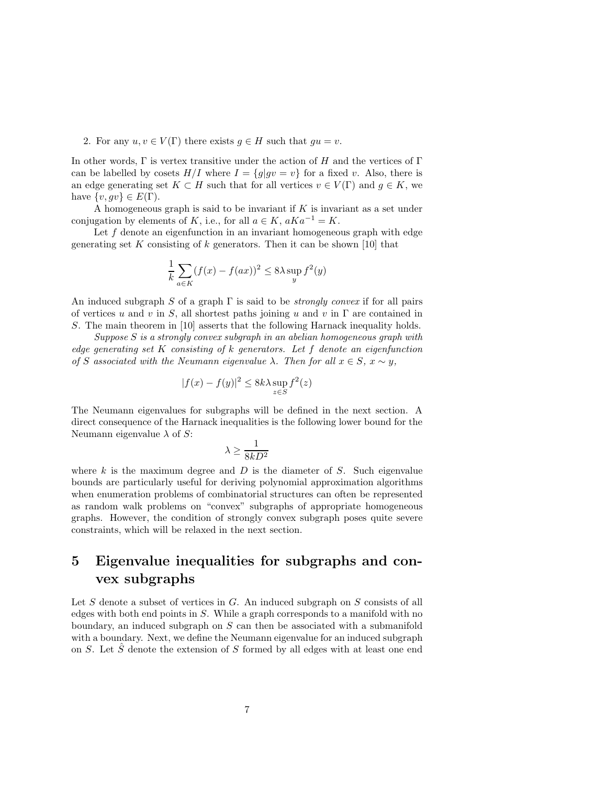#### 2. For any  $u, v \in V(\Gamma)$  there exists  $g \in H$  such that  $gu = v$ .

In other words,  $\Gamma$  is vertex transitive under the action of H and the vertices of  $\Gamma$ can be labelled by cosets  $H/I$  where  $I = \{g|gv = v\}$  for a fixed v. Also, there is an edge generating set  $K \subset H$  such that for all vertices  $v \in V(\Gamma)$  and  $g \in K$ , we have  $\{v, gv\} \in E(\Gamma)$ .

A homogeneous graph is said to be invariant if  $K$  is invariant as a set under conjugation by elements of K, i.e., for all  $a \in K$ ,  $aKa^{-1} = K$ .

Let  $f$  denote an eigenfunction in an invariant homogeneous graph with edge generating set K consisting of  $k$  generators. Then it can be shown [10] that

$$
\frac{1}{k}\sum_{a\in K}(f(x) - f(ax))^2 \le 8\lambda \sup_y f^2(y)
$$

An induced subgraph S of a graph  $\Gamma$  is said to be *strongly convex* if for all pairs of vertices u and v in S, all shortest paths joining u and v in  $\Gamma$  are contained in S. The main theorem in [10] asserts that the following Harnack inequality holds.

Suppose S is a strongly convex subgraph in an abelian homogeneous graph with edge generating set  $K$  consisting of  $k$  generators. Let  $f$  denote an eigenfunction of S associated with the Neumann eigenvalue  $\lambda$ . Then for all  $x \in S$ ,  $x \sim y$ ,

$$
|f(x) - f(y)|^2 \le 8k\lambda \sup_{z \in S} f^2(z)
$$

The Neumann eigenvalues for subgraphs will be defined in the next section. A direct consequence of the Harnack inequalities is the following lower bound for the Neumann eigenvalue  $\lambda$  of S:

$$
\lambda \ge \frac{1}{8kD^2}
$$

where  $k$  is the maximum degree and  $D$  is the diameter of  $S$ . Such eigenvalue bounds are particularly useful for deriving polynomial approximation algorithms when enumeration problems of combinatorial structures can often be represented as random walk problems on "convex" subgraphs of appropriate homogeneous graphs. However, the condition of strongly convex subgraph poses quite severe constraints, which will be relaxed in the next section.

## 5 Eigenvalue inequalities for subgraphs and convex subgraphs

Let  $S$  denote a subset of vertices in  $G$ . An induced subgraph on  $S$  consists of all edges with both end points in S. While a graph corresponds to a manifold with no boundary, an induced subgraph on S can then be associated with a submanifold with a boundary. Next, we define the Neumann eigenvalue for an induced subgraph on S. Let  $\hat{S}$  denote the extension of S formed by all edges with at least one end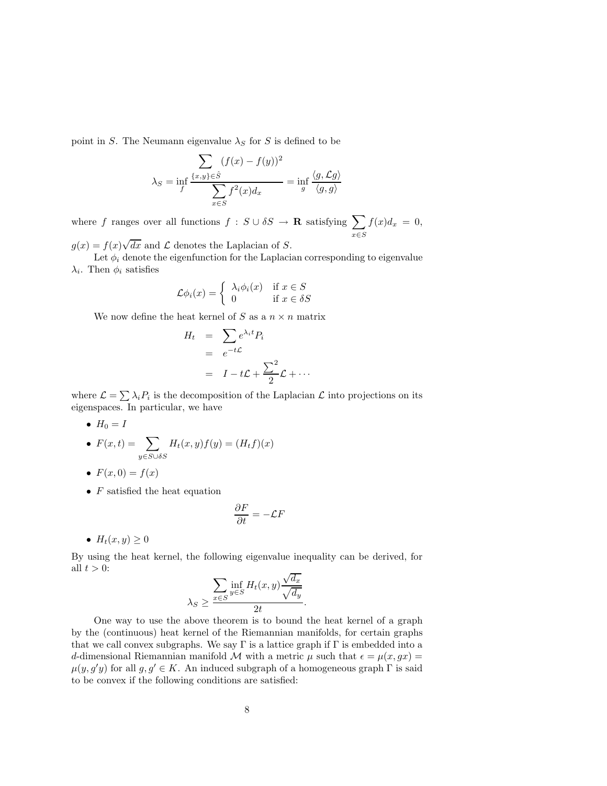point in S. The Neumann eigenvalue  $\lambda_S$  for S is defined to be

$$
\lambda_S = \inf_f \frac{\sum_{\{x,y\} \in \hat{S}} (f(x) - f(y))^2}{\sum_{x \in S} f^2(x) d_x} = \inf_g \frac{\langle g, \mathcal{L}g \rangle}{\langle g, g \rangle}
$$

where f ranges over all functions  $f : S \cup \delta S \to \mathbf{R}$  satisfying  $\sum$  $x \in S$  $f(x)d_x = 0,$ 

 $g(x) = f(x)\sqrt{dx}$  and  $\mathcal L$  denotes the Laplacian of S.

Let  $\phi_i$  denote the eigenfunction for the Laplacian corresponding to eigenvalue  $\lambda_i$ . Then  $\phi_i$  satisfies

$$
\mathcal{L}\phi_i(x) = \begin{cases} \lambda_i \phi_i(x) & \text{if } x \in S \\ 0 & \text{if } x \in \delta S \end{cases}
$$

We now define the heat kernel of S as a  $n \times n$  matrix

$$
H_t = \sum_{e^{-t\mathcal{L}}} e^{\lambda_i t} P_i
$$
  
= 
$$
e^{-t\mathcal{L}}
$$
  
= 
$$
I - t\mathcal{L} + \frac{\sum^2}{2}\mathcal{L} + \cdots
$$

where  $\mathcal{L} = \sum \lambda_i P_i$  is the decomposition of the Laplacian  $\mathcal{L}$  into projections on its eigenspaces. In particular, we have

•  $H_0 = I$ 

• 
$$
F(x,t) = \sum_{y \in S \cup \delta S} H_t(x,y)f(y) = (H_t f)(x)
$$

• 
$$
F(x,0) = f(x)
$$

•  $F$  satisfied the heat equation

$$
\frac{\partial F}{\partial t} = -\mathcal{L}F
$$

•  $H_t(x, y) \geq 0$ 

By using the heat kernel, the following eigenvalue inequality can be derived, for all  $t > 0$ :  $\cdot$  /

$$
\lambda_S \ge \frac{\sum_{x \in S} \inf_{y \in S} H_t(x, y) \frac{\sqrt{d_x}}{\sqrt{d_y}}}{2t}.
$$

One way to use the above theorem is to bound the heat kernel of a graph by the (continuous) heat kernel of the Riemannian manifolds, for certain graphs that we call convex subgraphs. We say  $\Gamma$  is a lattice graph if  $\Gamma$  is embedded into a d-dimensional Riemannian manifold M with a metric  $\mu$  such that  $\epsilon = \mu(x, gx)$  $\mu(y, g'y)$  for all  $g, g' \in K$ . An induced subgraph of a homogeneous graph  $\Gamma$  is said to be convex if the following conditions are satisfied: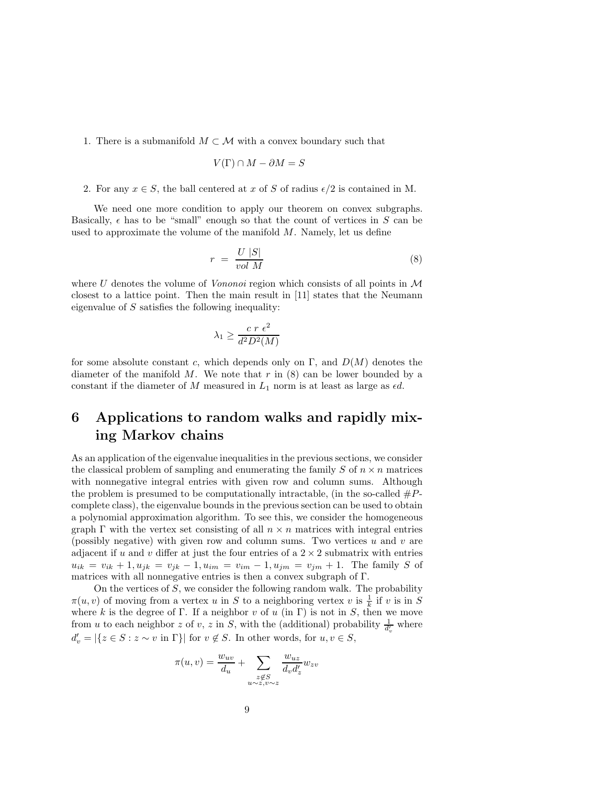1. There is a submanifold  $M \subset \mathcal{M}$  with a convex boundary such that

$$
V(\Gamma) \cap M - \partial M = S
$$

#### 2. For any  $x \in S$ , the ball centered at x of S of radius  $\epsilon/2$  is contained in M.

We need one more condition to apply our theorem on convex subgraphs. Basically,  $\epsilon$  has to be "small" enough so that the count of vertices in S can be used to approximate the volume of the manifold  $M$ . Namely, let us define

$$
r = \frac{U|S|}{vol\ M} \tag{8}
$$

where  $U$  denotes the volume of *Vononoi* region which consists of all points in  $M$ closest to a lattice point. Then the main result in [11] states that the Neumann eigenvalue of  $S$  satisfies the following inequality:

$$
\lambda_1 \ge \frac{c \ r \ \epsilon^2}{d^2 D^2(M)}
$$

for some absolute constant c, which depends only on  $\Gamma$ , and  $D(M)$  denotes the diameter of the manifold M. We note that r in  $(8)$  can be lower bounded by a constant if the diameter of  $M$  measured in  $L_1$  norm is at least as large as  $\epsilon d$ .

# 6 Applications to random walks and rapidly mixing Markov chains

As an application of the eigenvalue inequalities in the previous sections, we consider the classical problem of sampling and enumerating the family  $S$  of  $n \times n$  matrices with nonnegative integral entries with given row and column sums. Although the problem is presumed to be computationally intractable, (in the so-called  $#P$ complete class), the eigenvalue bounds in the previous section can be used to obtain a polynomial approximation algorithm. To see this, we consider the homogeneous graph  $\Gamma$  with the vertex set consisting of all  $n \times n$  matrices with integral entries (possibly negative) with given row and column sums. Two vertices  $u$  and  $v$  are adjacent if u and v differ at just the four entries of a  $2 \times 2$  submatrix with entries  $u_{ik} = v_{ik} + 1, u_{jk} = v_{jk} - 1, u_{im} = v_{im} - 1, u_{jm} = v_{jm} + 1$ . The family S of matrices with all nonnegative entries is then a convex subgraph of Γ.

On the vertices of S, we consider the following random walk. The probability  $\pi(u, v)$  of moving from a vertex u in S to a neighboring vertex v is  $\frac{1}{k}$  if v is in S where k is the degree of Γ. If a neighbor v of u (in Γ) is not in S, then we move from u to each neighbor z of v, z in S, with the (additional) probability  $\frac{1}{d'_v}$  where  $d'_v = |\{z \in S : z \sim v \text{ in } \Gamma\}| \text{ for } v \notin S.$  In other words, for  $u, v \in S$ ,

$$
\pi(u, v) = \frac{w_{uv}}{d_u} + \sum_{\substack{z \notin S \\ u \sim z, v \sim z}} \frac{w_{uz}}{d_v d'_z} w_{zv}
$$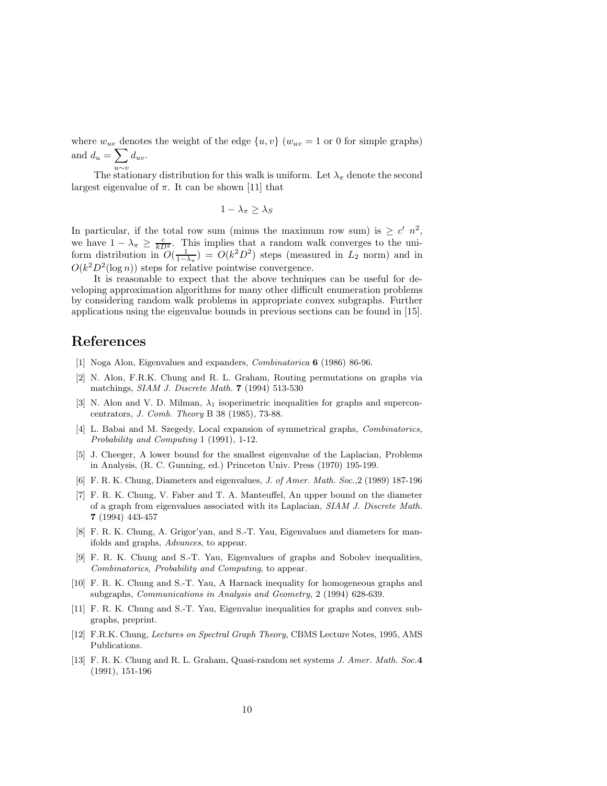where  $w_{uv}$  denotes the weight of the edge  $\{u, v\}$  ( $w_{uv} = 1$  or 0 for simple graphs) and  $d_u = \sum d_{uv}$ .

The stationary distribution for this walk is uniform. Let  $\lambda_{\pi}$  denote the second largest eigenvalue of  $\pi$ . It can be shown [11] that

$$
1 - \lambda_{\pi} \ge \lambda_S
$$

In particular, if the total row sum (minus the maximum row sum) is  $\geq c' n^2$ , we have  $1 - \lambda_{\pi} \ge \frac{c}{k D^2}$ . This implies that a random walk converges to the uniform distribution in  $O(\frac{1}{1-\lambda_{\pi}}) = O(k^2 D^2)$  steps (measured in  $L_2$  norm) and in  $O(k^2D^2(\log n))$  steps for relative pointwise convergence.

It is reasonable to expect that the above techniques can be useful for developing approximation algorithms for many other difficult enumeration problems by considering random walk problems in appropriate convex subgraphs. Further applications using the eigenvalue bounds in previous sections can be found in [15].

### References

- [1] Noga Alon, Eigenvalues and expanders, Combinatorica 6 (1986) 86-96.
- [2] N. Alon, F.R.K. Chung and R. L. Graham, Routing permutations on graphs via matchings, SIAM J. Discrete Math. 7 (1994) 513-530
- [3] N. Alon and V. D. Milman,  $\lambda_1$  isoperimetric inequalities for graphs and superconcentrators, J. Comb. Theory B 38 (1985), 73-88.
- [4] L. Babai and M. Szegedy, Local expansion of symmetrical graphs, Combinatorics, Probability and Computing 1 (1991), 1-12.
- [5] J. Cheeger, A lower bound for the smallest eigenvalue of the Laplacian, Problems in Analysis, (R. C. Gunning, ed.) Princeton Univ. Press (1970) 195-199.
- [6] F. R. K. Chung, Diameters and eigenvalues, J. of Amer. Math. Soc.,2 (1989) 187-196
- [7] F. R. K. Chung, V. Faber and T. A. Manteuffel, An upper bound on the diameter of a graph from eigenvalues associated with its Laplacian, SIAM J. Discrete Math. 7 (1994) 443-457
- [8] F. R. K. Chung, A. Grigor'yan, and S.-T. Yau, Eigenvalues and diameters for manifolds and graphs, Advances, to appear.
- [9] F. R. K. Chung and S.-T. Yau, Eigenvalues of graphs and Sobolev inequalities, Combinatorics, Probability and Computing, to appear.
- [10] F. R. K. Chung and S.-T. Yau, A Harnack inequality for homogeneous graphs and subgraphs, *Communications in Analysis and Geometry*, 2 (1994) 628-639.
- [11] F. R. K. Chung and S.-T. Yau, Eigenvalue inequalities for graphs and convex subgraphs, preprint.
- [12] F.R.K. Chung, Lectures on Spectral Graph Theory, CBMS Lecture Notes, 1995, AMS Publications.
- [13] F. R. K. Chung and R. L. Graham, Quasi-random set systems J. Amer. Math. Soc.4 (1991), 151-196